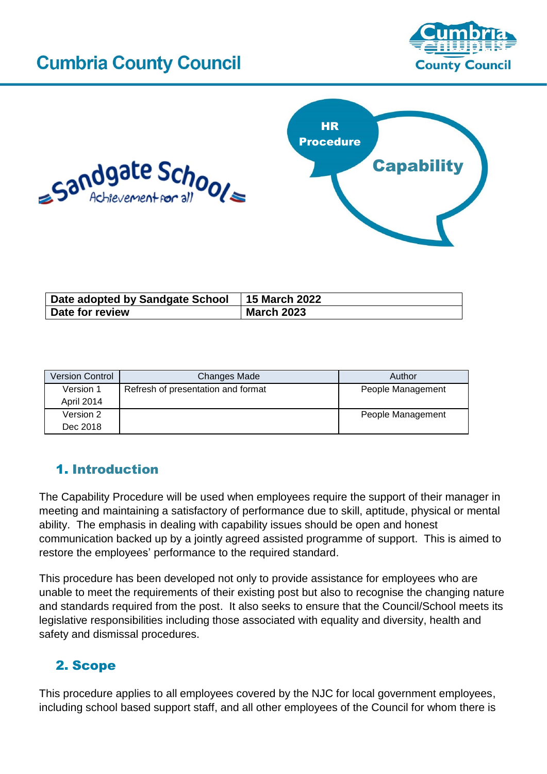# **Cumbria County Council**







| Date adopted by Sandgate School | <b>15 March 2022</b> |
|---------------------------------|----------------------|
| Date for review                 | <b>March 2023</b>    |

| <b>Version Control</b> | <b>Changes Made</b>                | Author            |
|------------------------|------------------------------------|-------------------|
| Version 1              | Refresh of presentation and format | People Management |
| April 2014             |                                    |                   |
| Version 2              |                                    | People Management |
| Dec 2018               |                                    |                   |

# 1. Introduction

The Capability Procedure will be used when employees require the support of their manager in meeting and maintaining a satisfactory of performance due to skill, aptitude, physical or mental ability. The emphasis in dealing with capability issues should be open and honest communication backed up by a jointly agreed assisted programme of support. This is aimed to restore the employees' performance to the required standard.

This procedure has been developed not only to provide assistance for employees who are unable to meet the requirements of their existing post but also to recognise the changing nature and standards required from the post. It also seeks to ensure that the Council/School meets its legislative responsibilities including those associated with equality and diversity, health and safety and dismissal procedures.

# 2. [Scope](http://www.intouch.ccc/elibrary/Content/Intranet/536/671/5053/6001/41410105256.doc)

This procedure applies to all employees covered by the NJC for local government employees, including school based support staff, and all other employees of the Council for whom there is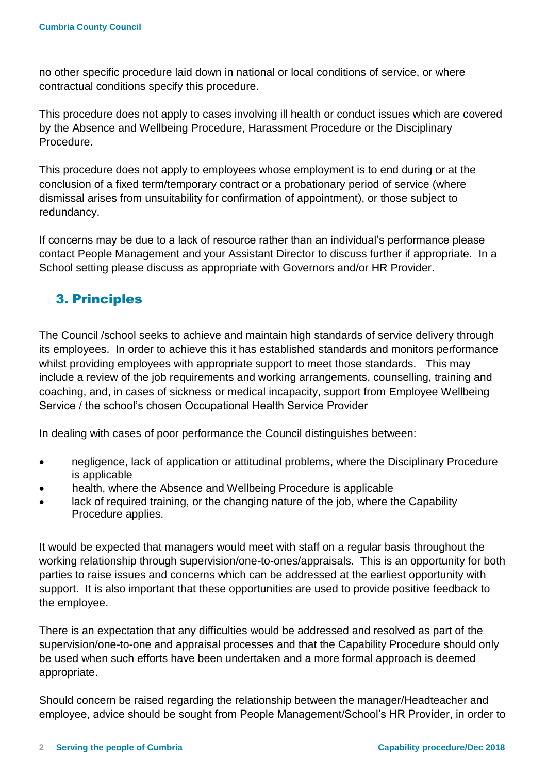no other specific procedure laid down in national or local conditions of service, or where contractual conditions specify this procedure.

This procedure does not apply to cases involving ill health or conduct issues which are covered by the Absence and Wellbeing Procedure, Harassment Procedure or the Disciplinary Procedure.

This procedure does not apply to employees whose employment is to end during or at the conclusion of a fixed term/temporary contract or a probationary period of service (where dismissal arises from unsuitability for confirmation of appointment), or those subject to redundancy.

If concerns may be due to a lack of resource rather than an individual's performance please contact People Management and your Assistant Director to discuss further if appropriate. In a School setting please discuss as appropriate with Governors and/or HR Provider.

# 3. [Principles](http://www.intouch.ccc/elibrary/Content/Intranet/536/671/5053/6001/41410105256.doc)

The Council /school seeks to achieve and maintain high standards of service delivery through its employees. In order to achieve this it has established standards and monitors performance whilst providing employees with appropriate support to meet those standards. This may include a review of the job requirements and working arrangements, counselling, training and coaching, and, in cases of sickness or medical incapacity, support from Employee Wellbeing Service / the school's chosen Occupational Health Service Provider

In dealing with cases of poor performance the Council distinguishes between:

- negligence, lack of application or attitudinal problems, where the Disciplinary Procedure is applicable
- health, where the Absence and Wellbeing Procedure is applicable
- lack of required training, or the changing nature of the job, where the Capability Procedure applies.

It would be expected that managers would meet with staff on a regular basis throughout the working relationship through supervision/one-to-ones/appraisals. This is an opportunity for both parties to raise issues and concerns which can be addressed at the earliest opportunity with support. It is also important that these opportunities are used to provide positive feedback to the employee.

There is an expectation that any difficulties would be addressed and resolved as part of the supervision/one-to-one and appraisal processes and that the Capability Procedure should only be used when such efforts have been undertaken and a more formal approach is deemed appropriate.

Should concern be raised regarding the relationship between the manager/Headteacher and employee, advice should be sought from People Management/School's HR Provider, in order to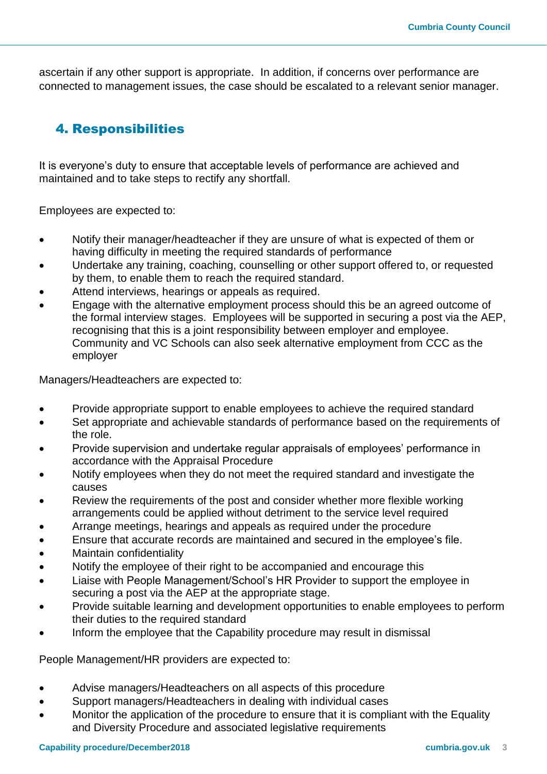ascertain if any other support is appropriate. In addition, if concerns over performance are connected to management issues, the case should be escalated to a relevant senior manager.

## 4. [Responsibilities](http://www.intouch.ccc/elibrary/Content/Intranet/536/671/5053/6001/41410105256.doc)

It is everyone's duty to ensure that acceptable levels of performance are achieved and maintained and to take steps to rectify any shortfall.

Employees are expected to:

- Notify their manager/headteacher if they are unsure of what is expected of them or having difficulty in meeting the required standards of performance
- Undertake any training, coaching, counselling or other support offered to, or requested by them, to enable them to reach the required standard.
- Attend interviews, hearings or appeals as required.
- Engage with the alternative employment process should this be an agreed outcome of the formal interview stages. Employees will be supported in securing a post via the AEP, recognising that this is a joint responsibility between employer and employee. Community and VC Schools can also seek alternative employment from CCC as the employer

Managers/Headteachers are expected to:

- Provide appropriate support to enable employees to achieve the required standard
- Set appropriate and achievable standards of performance based on the requirements of the role.
- Provide supervision and undertake regular appraisals of employees' performance in accordance with the Appraisal Procedure
- Notify employees when they do not meet the required standard and investigate the causes
- Review the requirements of the post and consider whether more flexible working arrangements could be applied without detriment to the service level required
- Arrange meetings, hearings and appeals as required under the procedure
- Ensure that accurate records are maintained and secured in the employee's file.
- Maintain confidentiality
- Notify the employee of their right to be accompanied and encourage this
- Liaise with People Management/School's HR Provider to support the employee in securing a post via the AEP at the appropriate stage.
- Provide suitable learning and development opportunities to enable employees to perform their duties to the required standard
- Inform the employee that the Capability procedure may result in dismissal

People Management/HR providers are expected to:

- Advise managers/Headteachers on all aspects of this procedure
- Support managers/Headteachers in dealing with individual cases
- Monitor the application of the procedure to ensure that it is compliant with the Equality and Diversity Procedure and associated legislative requirements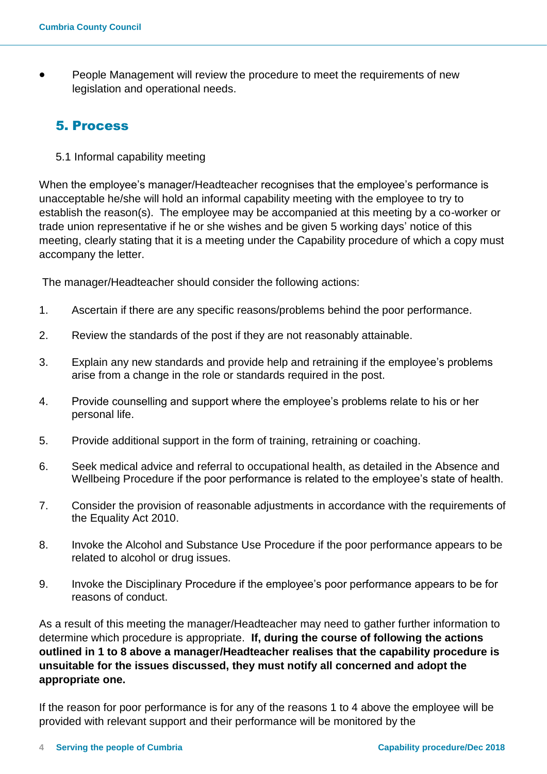People Management will review the procedure to meet the requirements of new legislation and operational needs.

### 5. [Process](http://www.intouch.ccc/elibrary/Content/Intranet/536/671/5053/6001/41410105256.doc)

5.1 Informal capability meeting

When the employee's manager/Headteacher recognises that the employee's performance is unacceptable he/she will hold an informal capability meeting with the employee to try to establish the reason(s). The employee may be accompanied at this meeting by a co-worker or trade union representative if he or she wishes and be given 5 working days' notice of this meeting, clearly stating that it is a meeting under the Capability procedure of which a copy must accompany the letter.

The manager/Headteacher should consider the following actions:

- 1. Ascertain if there are any specific reasons/problems behind the poor performance.
- 2. Review the standards of the post if they are not reasonably attainable.
- 3. Explain any new standards and provide help and retraining if the employee's problems arise from a change in the role or standards required in the post.
- 4. Provide counselling and support where the employee's problems relate to his or her personal life.
- 5. Provide additional support in the form of training, retraining or coaching.
- 6. Seek medical advice and referral to occupational health, as detailed in the Absence and Wellbeing Procedure if the poor performance is related to the employee's state of health.
- 7. Consider the provision of reasonable adjustments in accordance with the requirements of the Equality Act 2010.
- 8. Invoke the Alcohol and Substance Use Procedure if the poor performance appears to be related to alcohol or drug issues.
- 9. Invoke the Disciplinary Procedure if the employee's poor performance appears to be for reasons of conduct.

As a result of this meeting the manager/Headteacher may need to gather further information to determine which procedure is appropriate. **If, during the course of following the actions outlined in 1 to 8 above a manager/Headteacher realises that the capability procedure is unsuitable for the issues discussed, they must notify all concerned and adopt the appropriate one.**

If the reason for poor performance is for any of the reasons 1 to 4 above the employee will be provided with relevant support and their performance will be monitored by the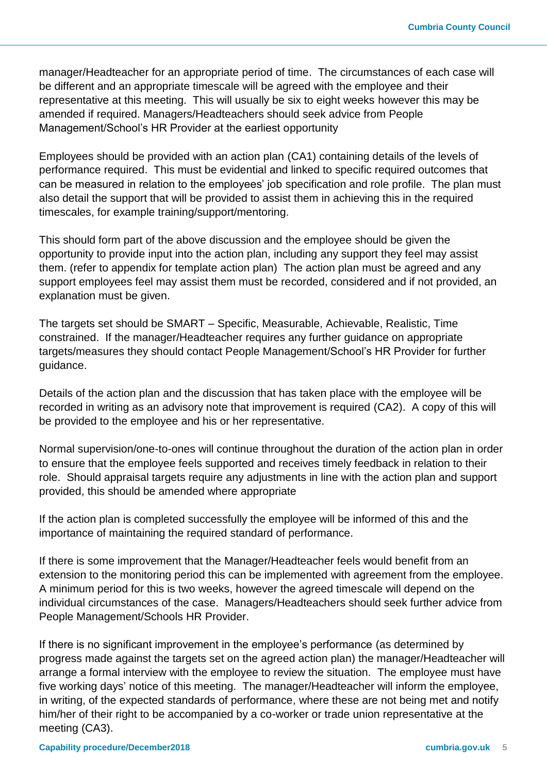manager/Headteacher for an appropriate period of time. The circumstances of each case will be different and an appropriate timescale will be agreed with the employee and their representative at this meeting. This will usually be six to eight weeks however this may be amended if required. Managers/Headteachers should seek advice from People Management/School's HR Provider at the earliest opportunity

Employees should be provided with an action plan (CA1) containing details of the levels of performance required. This must be evidential and linked to specific required outcomes that can be measured in relation to the employees' job specification and role profile. The plan must also detail the support that will be provided to assist them in achieving this in the required timescales, for example training/support/mentoring.

This should form part of the above discussion and the employee should be given the opportunity to provide input into the action plan, including any support they feel may assist them. (refer to appendix for template action plan) The action plan must be agreed and any support employees feel may assist them must be recorded, considered and if not provided, an explanation must be given.

The targets set should be SMART – Specific, Measurable, Achievable, Realistic, Time constrained. If the manager/Headteacher requires any further guidance on appropriate targets/measures they should contact People Management/School's HR Provider for further guidance.

Details of the action plan and the discussion that has taken place with the employee will be recorded in writing as an advisory note that improvement is required (CA2). A copy of this will be provided to the employee and his or her representative.

Normal supervision/one-to-ones will continue throughout the duration of the action plan in order to ensure that the employee feels supported and receives timely feedback in relation to their role. Should appraisal targets require any adjustments in line with the action plan and support provided, this should be amended where appropriate

If the action plan is completed successfully the employee will be informed of this and the importance of maintaining the required standard of performance.

If there is some improvement that the Manager/Headteacher feels would benefit from an extension to the monitoring period this can be implemented with agreement from the employee. A minimum period for this is two weeks, however the agreed timescale will depend on the individual circumstances of the case. Managers/Headteachers should seek further advice from People Management/Schools HR Provider.

If there is no significant improvement in the employee's performance (as determined by progress made against the targets set on the agreed action plan) the manager/Headteacher will arrange a formal interview with the employee to review the situation. The employee must have five working days' notice of this meeting. The manager/Headteacher will inform the employee, in writing, of the expected standards of performance, where these are not being met and notify him/her of their right to be accompanied by a co-worker or trade union representative at the meeting (CA3).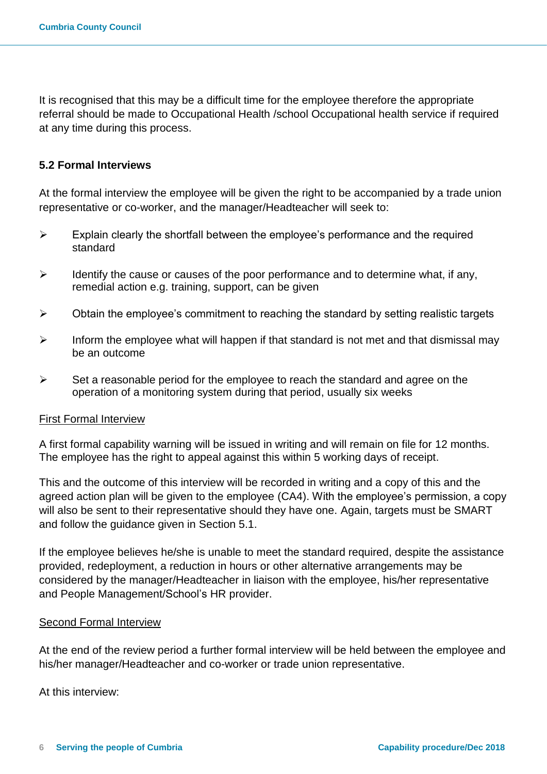It is recognised that this may be a difficult time for the employee therefore the appropriate referral should be made to Occupational Health /school Occupational health service if required at any time during this process.

### **5.2 Formal Interviews**

At the formal interview the employee will be given the right to be accompanied by a trade union representative or co-worker, and the manager/Headteacher will seek to:

- $\triangleright$  Explain clearly the shortfall between the employee's performance and the required standard
- $\triangleright$  Identify the cause or causes of the poor performance and to determine what, if any, remedial action e.g. training, support, can be given
- $\triangleright$  Obtain the employee's commitment to reaching the standard by setting realistic targets
- $\triangleright$  Inform the employee what will happen if that standard is not met and that dismissal may be an outcome
- $\triangleright$  Set a reasonable period for the employee to reach the standard and agree on the operation of a monitoring system during that period, usually six weeks

### First Formal Interview

A first formal capability warning will be issued in writing and will remain on file for 12 months. The employee has the right to appeal against this within 5 working days of receipt.

This and the outcome of this interview will be recorded in writing and a copy of this and the agreed action plan will be given to the employee (CA4). With the employee's permission, a copy will also be sent to their representative should they have one. Again, targets must be SMART and follow the guidance given in Section 5.1.

If the employee believes he/she is unable to meet the standard required, despite the assistance provided, redeployment, a reduction in hours or other alternative arrangements may be considered by the manager/Headteacher in liaison with the employee, his/her representative and People Management/School's HR provider.

#### Second Formal Interview

At the end of the review period a further formal interview will be held between the employee and his/her manager/Headteacher and co-worker or trade union representative.

At this interview: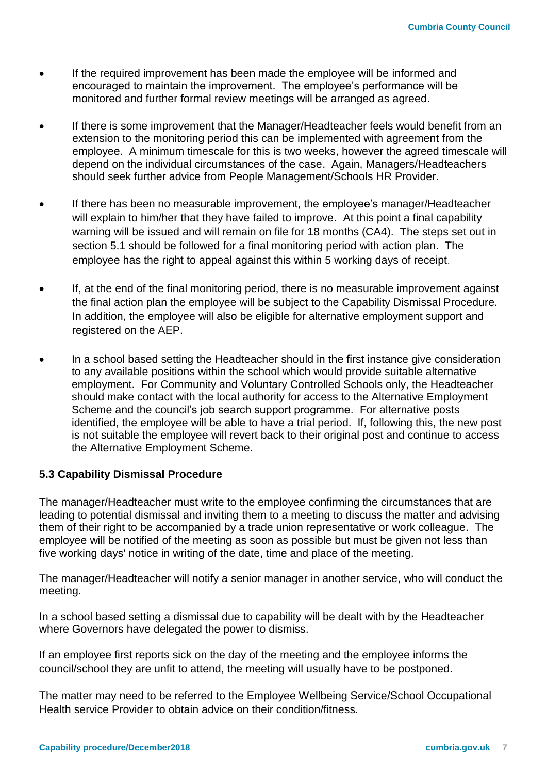- If the required improvement has been made the employee will be informed and encouraged to maintain the improvement. The employee's performance will be monitored and further formal review meetings will be arranged as agreed.
- If there is some improvement that the Manager/Headteacher feels would benefit from an extension to the monitoring period this can be implemented with agreement from the employee. A minimum timescale for this is two weeks, however the agreed timescale will depend on the individual circumstances of the case. Again, Managers/Headteachers should seek further advice from People Management/Schools HR Provider.
- If there has been no measurable improvement, the employee's manager/Headteacher will explain to him/her that they have failed to improve. At this point a final capability warning will be issued and will remain on file for 18 months (CA4). The steps set out in section 5.1 should be followed for a final monitoring period with action plan. The employee has the right to appeal against this within 5 working days of receipt.
- If, at the end of the final monitoring period, there is no measurable improvement against the final action plan the employee will be subject to the Capability Dismissal Procedure. In addition, the employee will also be eligible for alternative employment support and registered on the AEP.
- In a school based setting the Headteacher should in the first instance give consideration to any available positions within the school which would provide suitable alternative employment. For Community and Voluntary Controlled Schools only, the Headteacher should make contact with the local authority for access to the Alternative Employment Scheme and the council's job search support programme. For alternative posts identified, the employee will be able to have a trial period. If, following this, the new post is not suitable the employee will revert back to their original post and continue to access the Alternative Employment Scheme.

### **5.3 Capability Dismissal Procedure**

The manager/Headteacher must write to the employee confirming the circumstances that are leading to potential dismissal and inviting them to a meeting to discuss the matter and advising them of their right to be accompanied by a trade union representative or work colleague. The employee will be notified of the meeting as soon as possible but must be given not less than five working days' notice in writing of the date, time and place of the meeting.

The manager/Headteacher will notify a senior manager in another service, who will conduct the meeting.

In a school based setting a dismissal due to capability will be dealt with by the Headteacher where Governors have delegated the power to dismiss.

If an employee first reports sick on the day of the meeting and the employee informs the council/school they are unfit to attend, the meeting will usually have to be postponed.

The matter may need to be referred to the Employee Wellbeing Service/School Occupational Health service Provider to obtain advice on their condition/fitness.